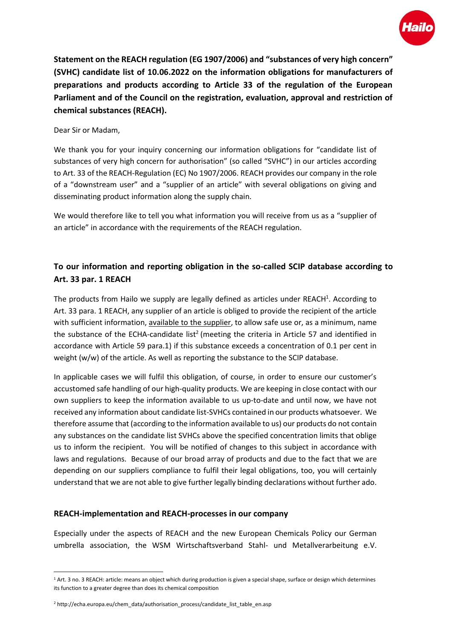

**Statement on the REACH regulation (EG 1907/2006) and "substances of very high concern" (SVHC) candidate list of 10.06.2022 on the information obligations for manufacturers of preparations and products according to Article 33 of the regulation of the European Parliament and of the Council on the registration, evaluation, approval and restriction of chemical substances (REACH).**

## Dear Sir or Madam,

We thank you for your inquiry concerning our information obligations for "candidate list of substances of very high concern for authorisation" (so called "SVHC") in our articles according to Art. 33 of the REACH-Regulation (EC) No 1907/2006. REACH provides our company in the role of a "downstream user" and a "supplier of an article" with several obligations on giving and disseminating product information along the supply chain.

We would therefore like to tell you what information you will receive from us as a "supplier of an article" in accordance with the requirements of the REACH regulation.

## **To our information and reporting obligation in the so-called SCIP database according to Art. 33 par. 1 REACH**

The products from Hailo we supply are legally defined as articles under REACH<sup>1</sup>. According to Art. 33 para. 1 REACH, any supplier of an article is obliged to provide the recipient of the article with sufficient information, available to the supplier, to allow safe use or, as a minimum, name the substance of the ECHA-candidate list<sup>2</sup> (meeting the criteria in Article 57 and identified in accordance with Article 59 para.1) if this substance exceeds a concentration of 0.1 per cent in weight (w/w) of the article. As well as reporting the substance to the SCIP database.

In applicable cases we will fulfil this obligation, of course, in order to ensure our customer's accustomed safe handling of our high-quality products. We are keeping in close contact with our own suppliers to keep the information available to us up-to-date and until now, we have not received any information about candidate list-SVHCs contained in our products whatsoever. We therefore assume that (according to the information available to us) our products do not contain any substances on the candidate list SVHCs above the specified concentration limits that oblige us to inform the recipient. You will be notified of changes to this subject in accordance with laws and regulations. Because of our broad array of products and due to the fact that we are depending on our suppliers compliance to fulfil their legal obligations, too, you will certainly understand that we are not able to give further legally binding declarations without further ado.

## **REACH-implementation and REACH-processes in our company**

Especially under the aspects of REACH and the new European Chemicals Policy our German umbrella association, the WSM Wirtschaftsverband Stahl- und Metallverarbeitung e.V.

 $\overline{\phantom{a}}$ 

<sup>&</sup>lt;sup>1</sup> Art. 3 no. 3 REACH: article: means an object which during production is given a special shape, surface or design which determines its function to a greater degree than does its chemical composition

<sup>2</sup> http://echa.europa.eu/chem\_data/authorisation\_process/candidate\_list\_table\_en.asp